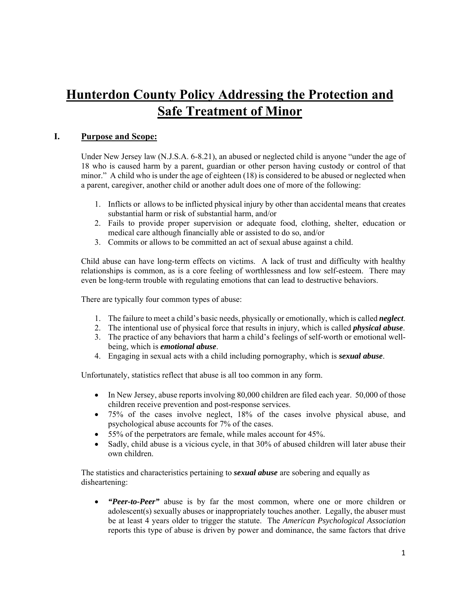# **Hunterdon County Policy Addressing the Protection and Safe Treatment of Minor**

## **I. Purpose and Scope:**

Under New Jersey law (N.J.S.A. 6-8.21), an abused or neglected child is anyone "under the age of 18 who is caused harm by a parent, guardian or other person having custody or control of that minor." A child who is under the age of eighteen (18) is considered to be abused or neglected when a parent, caregiver, another child or another adult does one of more of the following:

- 1. Inflicts or allows to be inflicted physical injury by other than accidental means that creates substantial harm or risk of substantial harm, and/or
- 2. Fails to provide proper supervision or adequate food, clothing, shelter, education or medical care although financially able or assisted to do so, and/or
- 3. Commits or allows to be committed an act of sexual abuse against a child.

Child abuse can have long-term effects on victims. A lack of trust and difficulty with healthy relationships is common, as is a core feeling of worthlessness and low self-esteem. There may even be long-term trouble with regulating emotions that can lead to destructive behaviors.

There are typically four common types of abuse:

- 1. The failure to meet a child's basic needs, physically or emotionally, which is called *neglect*.
- 2. The intentional use of physical force that results in injury, which is called *physical abuse*.
- 3. The practice of any behaviors that harm a child's feelings of self-worth or emotional wellbeing, which is *emotional abuse*.
- 4. Engaging in sexual acts with a child including pornography, which is *sexual abuse*.

Unfortunately, statistics reflect that abuse is all too common in any form.

- In New Jersey, abuse reports involving 80,000 children are filed each year. 50,000 of those children receive prevention and post-response services.
- 75% of the cases involve neglect, 18% of the cases involve physical abuse, and psychological abuse accounts for 7% of the cases.
- 55% of the perpetrators are female, while males account for 45%.
- Sadly, child abuse is a vicious cycle, in that 30% of abused children will later abuse their own children.

The statistics and characteristics pertaining to *sexual abuse* are sobering and equally as disheartening:

 *"Peer-to-Peer"* abuse is by far the most common, where one or more children or adolescent(s) sexually abuses or inappropriately touches another. Legally, the abuser must be at least 4 years older to trigger the statute. The *American Psychological Association* reports this type of abuse is driven by power and dominance, the same factors that drive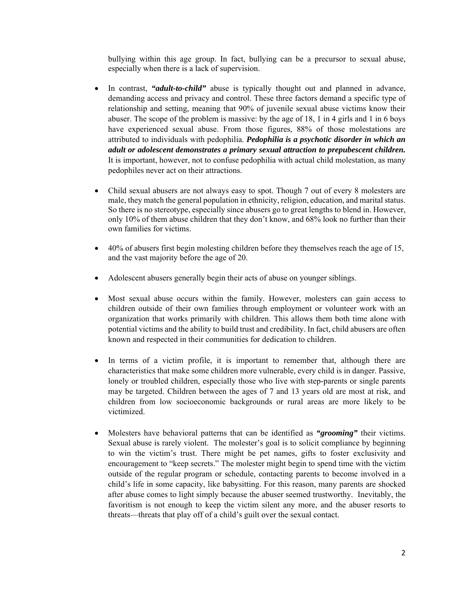bullying within this age group. In fact, bullying can be a precursor to sexual abuse, especially when there is a lack of supervision.

- In contrast, *"adult-to-child"* abuse is typically thought out and planned in advance, demanding access and privacy and control. These three factors demand a specific type of relationship and setting, meaning that 90% of juvenile sexual abuse victims know their abuser. The scope of the problem is massive: by the age of 18, 1 in 4 girls and 1 in 6 boys have experienced sexual abuse. From those figures, 88% of those molestations are attributed to individuals with pedophilia. *Pedophilia is a psychotic disorder in which an adult or adolescent demonstrates a primary sexual attraction to prepubescent children.*  It is important, however, not to confuse pedophilia with actual child molestation, as many pedophiles never act on their attractions.
- Child sexual abusers are not always easy to spot. Though 7 out of every 8 molesters are male, they match the general population in ethnicity, religion, education, and marital status. So there is no stereotype, especially since abusers go to great lengths to blend in. However, only 10% of them abuse children that they don't know, and 68% look no further than their own families for victims.
- 40% of abusers first begin molesting children before they themselves reach the age of 15, and the vast majority before the age of 20.
- Adolescent abusers generally begin their acts of abuse on younger siblings.
- Most sexual abuse occurs within the family. However, molesters can gain access to children outside of their own families through employment or volunteer work with an organization that works primarily with children. This allows them both time alone with potential victims and the ability to build trust and credibility. In fact, child abusers are often known and respected in their communities for dedication to children.
- In terms of a victim profile, it is important to remember that, although there are characteristics that make some children more vulnerable, every child is in danger. Passive, lonely or troubled children, especially those who live with step-parents or single parents may be targeted. Children between the ages of 7 and 13 years old are most at risk, and children from low socioeconomic backgrounds or rural areas are more likely to be victimized.
- Molesters have behavioral patterns that can be identified as *"grooming"* their victims. Sexual abuse is rarely violent. The molester's goal is to solicit compliance by beginning to win the victim's trust. There might be pet names, gifts to foster exclusivity and encouragement to "keep secrets." The molester might begin to spend time with the victim outside of the regular program or schedule, contacting parents to become involved in a child's life in some capacity, like babysitting. For this reason, many parents are shocked after abuse comes to light simply because the abuser seemed trustworthy. Inevitably, the favoritism is not enough to keep the victim silent any more, and the abuser resorts to threats—threats that play off of a child's guilt over the sexual contact.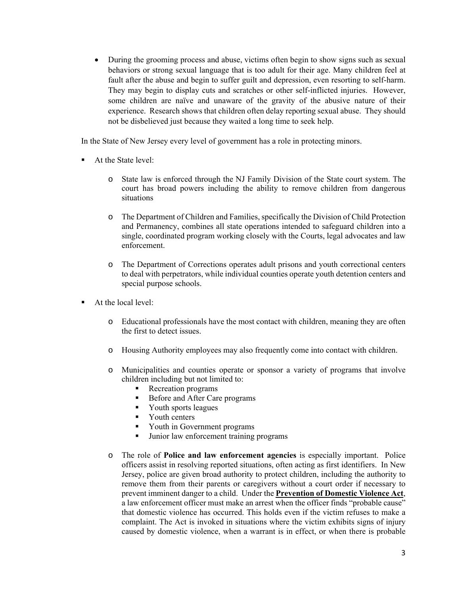During the grooming process and abuse, victims often begin to show signs such as sexual behaviors or strong sexual language that is too adult for their age. Many children feel at fault after the abuse and begin to suffer guilt and depression, even resorting to self-harm. They may begin to display cuts and scratches or other self-inflicted injuries. However, some children are naïve and unaware of the gravity of the abusive nature of their experience. Research shows that children often delay reporting sexual abuse. They should not be disbelieved just because they waited a long time to seek help.

In the State of New Jersey every level of government has a role in protecting minors.

- At the State level:
	- o State law is enforced through the NJ Family Division of the State court system. The court has broad powers including the ability to remove children from dangerous situations
	- o The Department of Children and Families, specifically the Division of Child Protection and Permanency, combines all state operations intended to safeguard children into a single, coordinated program working closely with the Courts, legal advocates and law enforcement.
	- o The Department of Corrections operates adult prisons and youth correctional centers to deal with perpetrators, while individual counties operate youth detention centers and special purpose schools.
- At the local level:
	- o Educational professionals have the most contact with children, meaning they are often the first to detect issues.
	- o Housing Authority employees may also frequently come into contact with children.
	- o Municipalities and counties operate or sponsor a variety of programs that involve children including but not limited to:
		- **Recreation programs**
		- Before and After Care programs
		- **Vouth sports leagues**
		- Vouth centers
		- Youth in Government programs
		- Ultimate Junior law enforcement training programs
	- o The role of **Police and law enforcement agencies** is especially important. Police officers assist in resolving reported situations, often acting as first identifiers. In New Jersey, police are given broad authority to protect children, including the authority to remove them from their parents or caregivers without a court order if necessary to prevent imminent danger to a child. Under the **Prevention of Domestic Violence Act**, a law enforcement officer must make an arrest when the officer finds "probable cause" that domestic violence has occurred. This holds even if the victim refuses to make a complaint. The Act is invoked in situations where the victim exhibits signs of injury caused by domestic violence, when a warrant is in effect, or when there is probable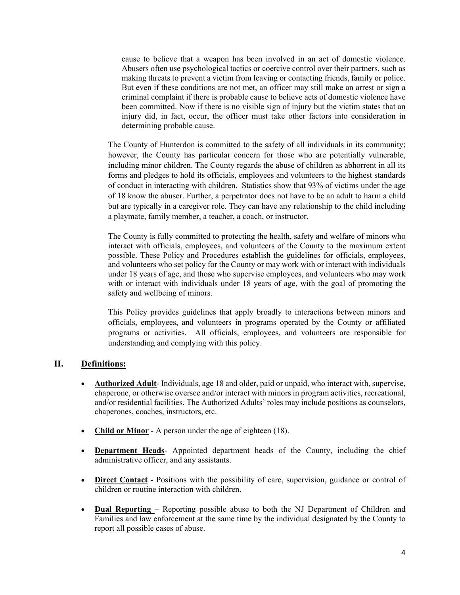cause to believe that a weapon has been involved in an act of domestic violence. Abusers often use psychological tactics or coercive control over their partners, such as making threats to prevent a victim from leaving or contacting friends, family or police. But even if these conditions are not met, an officer may still make an arrest or sign a criminal complaint if there is probable cause to believe acts of domestic violence have been committed. Now if there is no visible sign of injury but the victim states that an injury did, in fact, occur, the officer must take other factors into consideration in determining probable cause.

The County of Hunterdon is committed to the safety of all individuals in its community; however, the County has particular concern for those who are potentially vulnerable, including minor children. The County regards the abuse of children as abhorrent in all its forms and pledges to hold its officials, employees and volunteers to the highest standards of conduct in interacting with children. Statistics show that 93% of victims under the age of 18 know the abuser. Further, a perpetrator does not have to be an adult to harm a child but are typically in a caregiver role. They can have any relationship to the child including a playmate, family member, a teacher, a coach, or instructor.

The County is fully committed to protecting the health, safety and welfare of minors who interact with officials, employees, and volunteers of the County to the maximum extent possible. These Policy and Procedures establish the guidelines for officials, employees, and volunteers who set policy for the County or may work with or interact with individuals under 18 years of age, and those who supervise employees, and volunteers who may work with or interact with individuals under 18 years of age, with the goal of promoting the safety and wellbeing of minors.

This Policy provides guidelines that apply broadly to interactions between minors and officials, employees, and volunteers in programs operated by the County or affiliated programs or activities. All officials, employees, and volunteers are responsible for understanding and complying with this policy.

## **II. Definitions:**

- **Authorized Adult** Individuals, age 18 and older, paid or unpaid, who interact with, supervise, chaperone, or otherwise oversee and/or interact with minors in program activities, recreational, and/or residential facilities. The Authorized Adults' roles may include positions as counselors, chaperones, coaches, instructors, etc.
- **Child or Minor** A person under the age of eighteen (18).
- **Department Heads** Appointed department heads of the County, including the chief administrative officer, and any assistants.
- **Direct Contact** Positions with the possibility of care, supervision, guidance or control of children or routine interaction with children.
- **Dual Reporting**  Reporting possible abuse to both the NJ Department of Children and Families and law enforcement at the same time by the individual designated by the County to report all possible cases of abuse.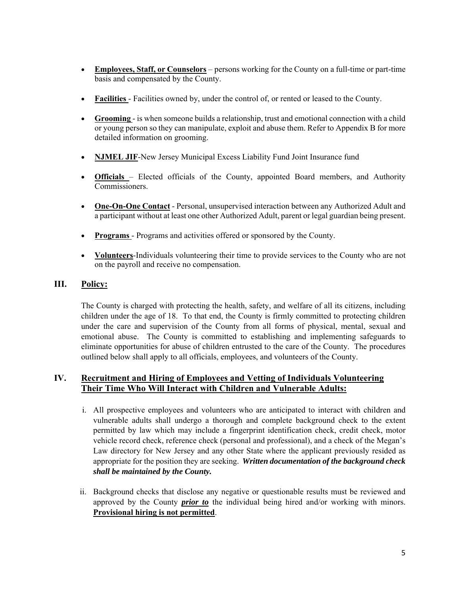- **Employees, Staff, or Counselors** persons working for the County on a full-time or part-time basis and compensated by the County.
- **Facilities**  Facilities owned by, under the control of, or rented or leased to the County.
- **Grooming**  is when someone builds a relationship, trust and emotional connection with a child or young person so they can manipulate, exploit and abuse them. Refer to Appendix B for more detailed information on grooming.
- **NJMEL JIF**-New Jersey Municipal Excess Liability Fund Joint Insurance fund
- **Officials**  Elected officials of the County, appointed Board members, and Authority Commissioners.
- **One-On-One Contact** Personal, unsupervised interaction between any Authorized Adult and a participant without at least one other Authorized Adult, parent or legal guardian being present.
- **Programs** Programs and activities offered or sponsored by the County.
- **Volunteers**-Individuals volunteering their time to provide services to the County who are not on the payroll and receive no compensation.

## **III. Policy:**

The County is charged with protecting the health, safety, and welfare of all its citizens, including children under the age of 18. To that end, the County is firmly committed to protecting children under the care and supervision of the County from all forms of physical, mental, sexual and emotional abuse. The County is committed to establishing and implementing safeguards to eliminate opportunities for abuse of children entrusted to the care of the County. The procedures outlined below shall apply to all officials, employees, and volunteers of the County.

## **IV. Recruitment and Hiring of Employees and Vetting of Individuals Volunteering Their Time Who Will Interact with Children and Vulnerable Adults:**

- i. All prospective employees and volunteers who are anticipated to interact with children and vulnerable adults shall undergo a thorough and complete background check to the extent permitted by law which may include a fingerprint identification check, credit check, motor vehicle record check, reference check (personal and professional), and a check of the Megan's Law directory for New Jersey and any other State where the applicant previously resided as appropriate for the position they are seeking. *Written documentation of the background check shall be maintained by the County.*
- ii. Background checks that disclose any negative or questionable results must be reviewed and approved by the County *prior to* the individual being hired and/or working with minors. **Provisional hiring is not permitted**.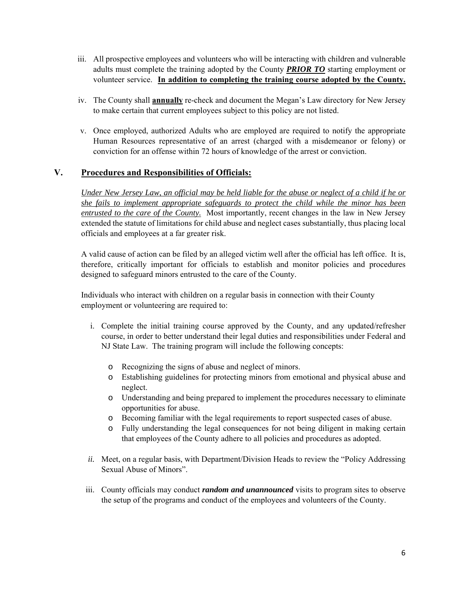- iii. All prospective employees and volunteers who will be interacting with children and vulnerable adults must complete the training adopted by the County *PRIOR TO* starting employment or volunteer service. **In addition to completing the training course adopted by the County.**
- iv. The County shall **annually** re-check and document the Megan's Law directory for New Jersey to make certain that current employees subject to this policy are not listed.
- v. Once employed, authorized Adults who are employed are required to notify the appropriate Human Resources representative of an arrest (charged with a misdemeanor or felony) or conviction for an offense within 72 hours of knowledge of the arrest or conviction.

## **V. Procedures and Responsibilities of Officials:**

*Under New Jersey Law, an official may be held liable for the abuse or neglect of a child if he or she fails to implement appropriate safeguards to protect the child while the minor has been entrusted to the care of the County.* Most importantly, recent changes in the law in New Jersey extended the statute of limitations for child abuse and neglect cases substantially, thus placing local officials and employees at a far greater risk.

A valid cause of action can be filed by an alleged victim well after the official has left office. It is, therefore, critically important for officials to establish and monitor policies and procedures designed to safeguard minors entrusted to the care of the County.

Individuals who interact with children on a regular basis in connection with their County employment or volunteering are required to:

- i. Complete the initial training course approved by the County, and any updated/refresher course, in order to better understand their legal duties and responsibilities under Federal and NJ State Law. The training program will include the following concepts:
	- o Recognizing the signs of abuse and neglect of minors.
	- o Establishing guidelines for protecting minors from emotional and physical abuse and neglect.
	- o Understanding and being prepared to implement the procedures necessary to eliminate opportunities for abuse.
	- o Becoming familiar with the legal requirements to report suspected cases of abuse.
	- o Fully understanding the legal consequences for not being diligent in making certain that employees of the County adhere to all policies and procedures as adopted.
- *ii.* Meet, on a regular basis, with Department/Division Heads to review the "Policy Addressing" Sexual Abuse of Minors".
- iii. County officials may conduct *random and unannounced* visits to program sites to observe the setup of the programs and conduct of the employees and volunteers of the County.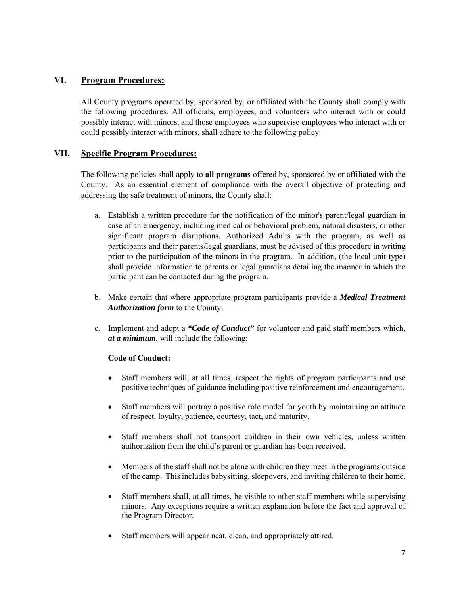## **VI. Program Procedures:**

All County programs operated by, sponsored by, or affiliated with the County shall comply with the following procedures. All officials, employees, and volunteers who interact with or could possibly interact with minors, and those employees who supervise employees who interact with or could possibly interact with minors, shall adhere to the following policy.

## **VII. Specific Program Procedures:**

The following policies shall apply to **all programs** offered by, sponsored by or affiliated with the County. As an essential element of compliance with the overall objective of protecting and addressing the safe treatment of minors, the County shall:

- a. Establish a written procedure for the notification of the minor's parent/legal guardian in case of an emergency, including medical or behavioral problem, natural disasters, or other significant program disruptions. Authorized Adults with the program, as well as participants and their parents/legal guardians, must be advised of this procedure in writing prior to the participation of the minors in the program. In addition, (the local unit type) shall provide information to parents or legal guardians detailing the manner in which the participant can be contacted during the program.
- b. Make certain that where appropriate program participants provide a *Medical Treatment Authorization form* to the County.
- c. Implement and adopt a *"Code of Conduct"* for volunteer and paid staff members which, *at a minimum*, will include the following:

#### **Code of Conduct:**

- Staff members will, at all times, respect the rights of program participants and use positive techniques of guidance including positive reinforcement and encouragement.
- Staff members will portray a positive role model for youth by maintaining an attitude of respect, loyalty, patience, courtesy, tact, and maturity.
- Staff members shall not transport children in their own vehicles, unless written authorization from the child's parent or guardian has been received.
- Members of the staff shall not be alone with children they meet in the programs outside of the camp. This includes babysitting, sleepovers, and inviting children to their home.
- Staff members shall, at all times, be visible to other staff members while supervising minors. Any exceptions require a written explanation before the fact and approval of the Program Director.
- Staff members will appear neat, clean, and appropriately attired.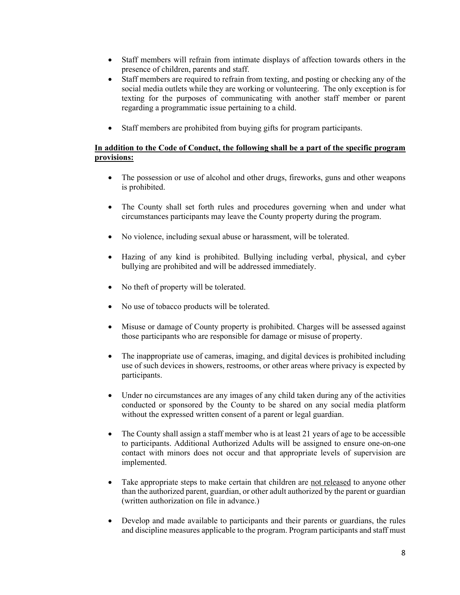- Staff members will refrain from intimate displays of affection towards others in the presence of children, parents and staff.
- Staff members are required to refrain from texting, and posting or checking any of the social media outlets while they are working or volunteering. The only exception is for texting for the purposes of communicating with another staff member or parent regarding a programmatic issue pertaining to a child.
- Staff members are prohibited from buying gifts for program participants.

#### **In addition to the Code of Conduct, the following shall be a part of the specific program provisions:**

- The possession or use of alcohol and other drugs, fireworks, guns and other weapons is prohibited.
- The County shall set forth rules and procedures governing when and under what circumstances participants may leave the County property during the program.
- No violence, including sexual abuse or harassment, will be tolerated.
- Hazing of any kind is prohibited. Bullying including verbal, physical, and cyber bullying are prohibited and will be addressed immediately.
- No theft of property will be tolerated.
- No use of tobacco products will be tolerated.
- Misuse or damage of County property is prohibited. Charges will be assessed against those participants who are responsible for damage or misuse of property.
- The inappropriate use of cameras, imaging, and digital devices is prohibited including use of such devices in showers, restrooms, or other areas where privacy is expected by participants.
- Under no circumstances are any images of any child taken during any of the activities conducted or sponsored by the County to be shared on any social media platform without the expressed written consent of a parent or legal guardian.
- The County shall assign a staff member who is at least 21 years of age to be accessible to participants. Additional Authorized Adults will be assigned to ensure one-on-one contact with minors does not occur and that appropriate levels of supervision are implemented.
- Take appropriate steps to make certain that children are not released to anyone other than the authorized parent, guardian, or other adult authorized by the parent or guardian (written authorization on file in advance.)
- Develop and made available to participants and their parents or guardians, the rules and discipline measures applicable to the program. Program participants and staff must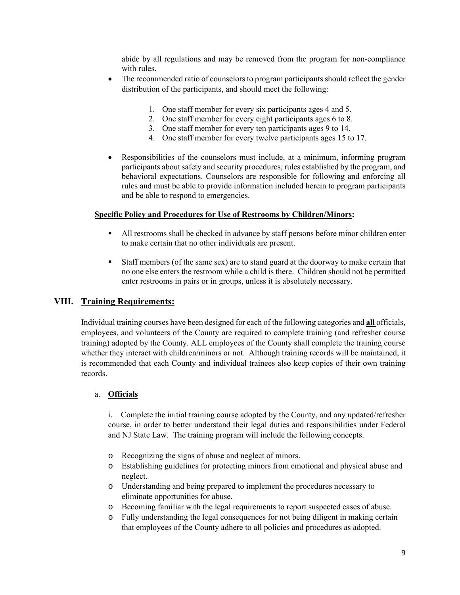abide by all regulations and may be removed from the program for non-compliance with rules.

- The recommended ratio of counselors to program participants should reflect the gender distribution of the participants, and should meet the following:
	- 1. One staff member for every six participants ages 4 and 5.
	- 2. One staff member for every eight participants ages 6 to 8.
	- 3. One staff member for every ten participants ages 9 to 14.
	- 4. One staff member for every twelve participants ages 15 to 17.
- Responsibilities of the counselors must include, at a minimum, informing program participants about safety and security procedures, rules established by the program, and behavioral expectations. Counselors are responsible for following and enforcing all rules and must be able to provide information included herein to program participants and be able to respond to emergencies.

#### **Specific Policy and Procedures for Use of Restrooms by Children/Minors:**

- All restrooms shall be checked in advance by staff persons before minor children enter to make certain that no other individuals are present.
- Staff members (of the same sex) are to stand guard at the doorway to make certain that no one else enters the restroom while a child is there. Children should not be permitted enter restrooms in pairs or in groups, unless it is absolutely necessary.

#### **VIII. Training Requirements:**

Individual training courses have been designed for each of the following categories and **all** officials, employees, and volunteers of the County are required to complete training (and refresher course training) adopted by the County. ALL employees of the County shall complete the training course whether they interact with children/minors or not. Although training records will be maintained, it is recommended that each County and individual trainees also keep copies of their own training records.

#### a. **Officials**

i. Complete the initial training course adopted by the County, and any updated/refresher course, in order to better understand their legal duties and responsibilities under Federal and NJ State Law. The training program will include the following concepts.

- o Recognizing the signs of abuse and neglect of minors.
- o Establishing guidelines for protecting minors from emotional and physical abuse and neglect.
- o Understanding and being prepared to implement the procedures necessary to eliminate opportunities for abuse.
- o Becoming familiar with the legal requirements to report suspected cases of abuse.
- o Fully understanding the legal consequences for not being diligent in making certain that employees of the County adhere to all policies and procedures as adopted.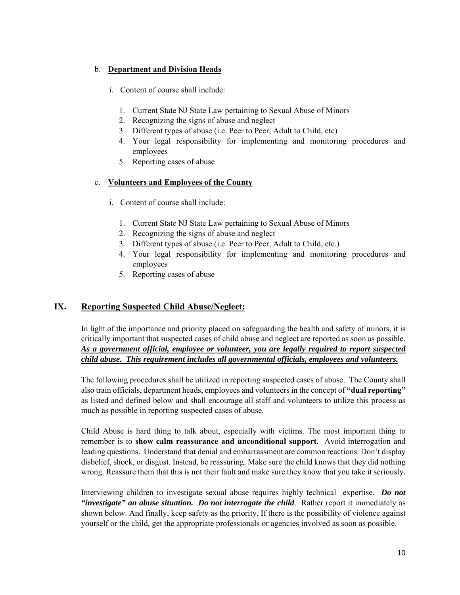### b. **Department and Division Heads**

- i. Content of course shall include:
	- 1. Current State NJ State Law pertaining to Sexual Abuse of Minors
	- 2. Recognizing the signs of abuse and neglect
	- 3. Different types of abuse (i.e. Peer to Peer, Adult to Child, etc)
	- 4. Your legal responsibility for implementing and monitoring procedures and employees
	- 5. Reporting cases of abuse

## c. **Volunteers and Employees of the County**

- i. Content of course shall include:
	- 1. Current State NJ State Law pertaining to Sexual Abuse of Minors
	- 2. Recognizing the signs of abuse and neglect
	- 3. Different types of abuse (i.e. Peer to Peer, Adult to Child, etc.)
	- 4. Your legal responsibility for implementing and monitoring procedures and employees
	- 5. Reporting cases of abuse

## **IX. Reporting Suspected Child Abuse/Neglect:**

In light of the importance and priority placed on safeguarding the health and safety of minors, it is critically important that suspected cases of child abuse and neglect are reported as soon as possible. *As a government official, employee or volunteer, you are legally required to report suspected child abuse. This requirement includes all governmental officials, employees and volunteers.* 

The following procedures shall be utilized in reporting suspected cases of abuse. The County shall also train officials, department heads, employees and volunteers in the concept of **"dual reporting"** as listed and defined below and shall encourage all staff and volunteers to utilize this process as much as possible in reporting suspected cases of abuse.

Child Abuse is hard thing to talk about, especially with victims. The most important thing to remember is to **show calm reassurance and unconditional support.** Avoid interrogation and leading questions. Understand that denial and embarrassment are common reactions. Don't display disbelief, shock, or disgust. Instead, be reassuring. Make sure the child knows that they did nothing wrong. Reassure them that this is not their fault and make sure they know that you take it seriously.

Interviewing children to investigate sexual abuse requires highly technical expertise. *Do not "investigate" an abuse situation. Do not interrogate the child*. Rather report it immediately as shown below. And finally, keep safety as the priority. If there is the possibility of violence against yourself or the child, get the appropriate professionals or agencies involved as soon as possible.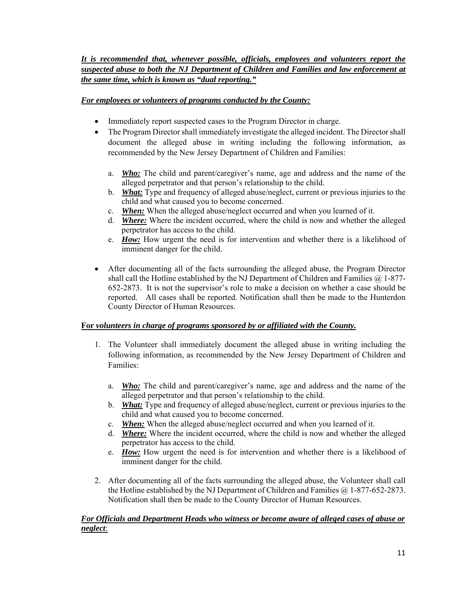## *It is recommended that, whenever possible, officials, employees and volunteers report the suspected abuse to both the NJ Department of Children and Families and law enforcement at the same time, which is known as "dual reporting."*

## *For employees or volunteers of programs conducted by the County:*

- Immediately report suspected cases to the Program Director in charge.
- The Program Director shall immediately investigate the alleged incident. The Director shall document the alleged abuse in writing including the following information, as recommended by the New Jersey Department of Children and Families:
	- a. *Who:* The child and parent/caregiver's name, age and address and the name of the alleged perpetrator and that person's relationship to the child.
	- b. *What:* Type and frequency of alleged abuse/neglect, current or previous injuries to the child and what caused you to become concerned.
	- c. *When:* When the alleged abuse/neglect occurred and when you learned of it.
	- d. *Where:* Where the incident occurred, where the child is now and whether the alleged perpetrator has access to the child.
	- e. *How:* How urgent the need is for intervention and whether there is a likelihood of imminent danger for the child.
- After documenting all of the facts surrounding the alleged abuse, the Program Director shall call the Hotline established by the NJ Department of Children and Families  $\omega$  1-877-652-2873. It is not the supervisor's role to make a decision on whether a case should be reported. All cases shall be reported. Notification shall then be made to the Hunterdon County Director of Human Resources.

#### **For** *volunteers in charge of programs sponsored by or affiliated with the County.*

- 1. The Volunteer shall immediately document the alleged abuse in writing including the following information, as recommended by the New Jersey Department of Children and Families:
	- a. *Who:* The child and parent/caregiver's name, age and address and the name of the alleged perpetrator and that person's relationship to the child.
	- b. *What:* Type and frequency of alleged abuse/neglect, current or previous injuries to the child and what caused you to become concerned.
	- c. *When:* When the alleged abuse/neglect occurred and when you learned of it.
	- d. *Where:* Where the incident occurred, where the child is now and whether the alleged perpetrator has access to the child.
	- e. *How:* How urgent the need is for intervention and whether there is a likelihood of imminent danger for the child.
- 2. After documenting all of the facts surrounding the alleged abuse, the Volunteer shall call the Hotline established by the NJ Department of Children and Families @ 1-877-652-2873. Notification shall then be made to the County Director of Human Resources.

#### *For Officials and Department Heads who witness or become aware of alleged cases of abuse or neglect*: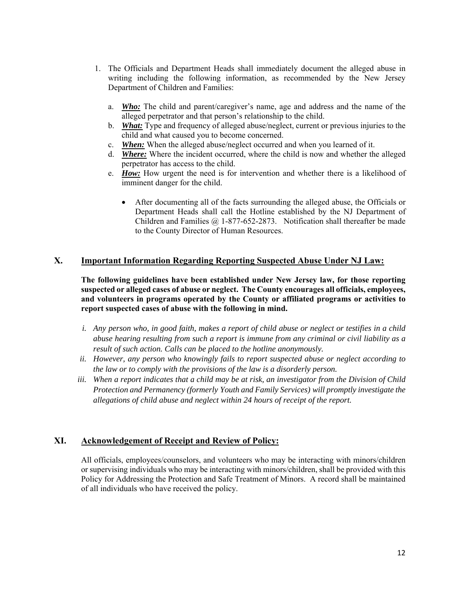- 1. The Officials and Department Heads shall immediately document the alleged abuse in writing including the following information, as recommended by the New Jersey Department of Children and Families:
	- a. *Who:* The child and parent/caregiver's name, age and address and the name of the alleged perpetrator and that person's relationship to the child.
	- b. *What:* Type and frequency of alleged abuse/neglect, current or previous injuries to the child and what caused you to become concerned.
	- c. *When:* When the alleged abuse/neglect occurred and when you learned of it.
	- d. *Where:* Where the incident occurred, where the child is now and whether the alleged perpetrator has access to the child.
	- e. *How:* How urgent the need is for intervention and whether there is a likelihood of imminent danger for the child.
		- After documenting all of the facts surrounding the alleged abuse, the Officials or Department Heads shall call the Hotline established by the NJ Department of Children and Families @ 1-877-652-2873. Notification shall thereafter be made to the County Director of Human Resources.

#### **X. Important Information Regarding Reporting Suspected Abuse Under NJ Law:**

**The following guidelines have been established under New Jersey law, for those reporting suspected or alleged cases of abuse or neglect. The County encourages all officials, employees, and volunteers in programs operated by the County or affiliated programs or activities to report suspected cases of abuse with the following in mind.** 

- *i. Any person who, in good faith, makes a report of child abuse or neglect or testifies in a child abuse hearing resulting from such a report is immune from any criminal or civil liability as a result of such action. Calls can be placed to the hotline anonymously.*
- *ii. However, any person who knowingly fails to report suspected abuse or neglect according to the law or to comply with the provisions of the law is a disorderly person.*
- *iii. When a report indicates that a child may be at risk, an investigator from the Division of Child Protection and Permanency (formerly Youth and Family Services) will promptly investigate the allegations of child abuse and neglect within 24 hours of receipt of the report.*

#### **XI. Acknowledgement of Receipt and Review of Policy:**

All officials, employees/counselors, and volunteers who may be interacting with minors/children or supervising individuals who may be interacting with minors/children, shall be provided with this Policy for Addressing the Protection and Safe Treatment of Minors. A record shall be maintained of all individuals who have received the policy.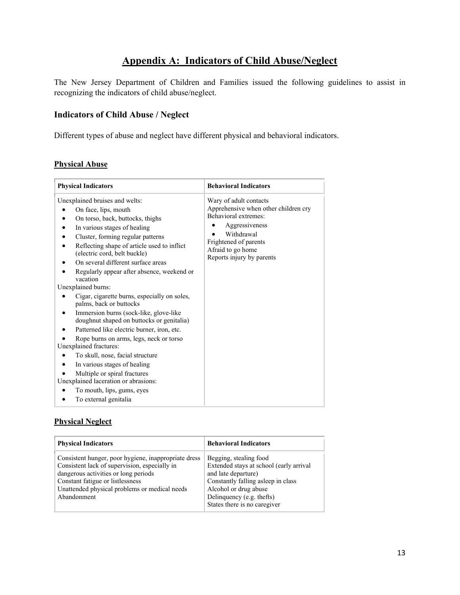# **Appendix A: Indicators of Child Abuse/Neglect**

The New Jersey Department of Children and Families issued the following guidelines to assist in recognizing the indicators of child abuse/neglect.

## **Indicators of Child Abuse / Neglect**

Different types of abuse and neglect have different physical and behavioral indicators.

#### **Physical Abuse**

| <b>Physical Indicators</b>                                                                                                                                                                                                                                                                                                                                                                                                                                                                                                                                                                                                                                                                                                                                                                                                                                    | <b>Behavioral Indicators</b>                                                                                                                                                                      |
|---------------------------------------------------------------------------------------------------------------------------------------------------------------------------------------------------------------------------------------------------------------------------------------------------------------------------------------------------------------------------------------------------------------------------------------------------------------------------------------------------------------------------------------------------------------------------------------------------------------------------------------------------------------------------------------------------------------------------------------------------------------------------------------------------------------------------------------------------------------|---------------------------------------------------------------------------------------------------------------------------------------------------------------------------------------------------|
| Unexplained bruises and welts:<br>On face, lips, mouth<br>On torso, back, buttocks, thighs<br>In various stages of healing<br>Cluster, forming regular patterns<br>Reflecting shape of article used to inflict<br>(electric cord, belt buckle)<br>On several different surface areas<br>Regularly appear after absence, weekend or<br>vacation<br>Unexplained burns:<br>Cigar, cigarette burns, especially on soles,<br>palms, back or buttocks<br>Immersion burns (sock-like, glove-like)<br>doughnut shaped on buttocks or genitalia)<br>Patterned like electric burner, iron, etc.<br>Rope burns on arms, legs, neck or torso<br>Unexplained fractures:<br>To skull, nose, facial structure<br>In various stages of healing<br>Multiple or spiral fractures<br>Unexplained laceration or abrasions:<br>To mouth, lips, gums, eyes<br>To external genitalia | Wary of adult contacts<br>Apprehensive when other children cry<br>Behavioral extremes:<br>Aggressiveness<br>Withdrawal<br>Frightened of parents<br>Afraid to go home<br>Reports injury by parents |

#### **Physical Neglect**

| <b>Physical Indicators</b>                                                                                                                                                                                                                        | <b>Behavioral Indicators</b>                                                                                                                                                                                         |
|---------------------------------------------------------------------------------------------------------------------------------------------------------------------------------------------------------------------------------------------------|----------------------------------------------------------------------------------------------------------------------------------------------------------------------------------------------------------------------|
| Consistent hunger, poor hygiene, inappropriate dress<br>Consistent lack of supervision, especially in<br>dangerous activities or long periods<br>Constant fatigue or listlessness<br>Unattended physical problems or medical needs<br>Abandonment | Begging, stealing food<br>Extended stays at school (early arrival<br>and late departure)<br>Constantly falling asleep in class<br>Alcohol or drug abuse<br>Delinquency (e.g. thefts)<br>States there is no caregiver |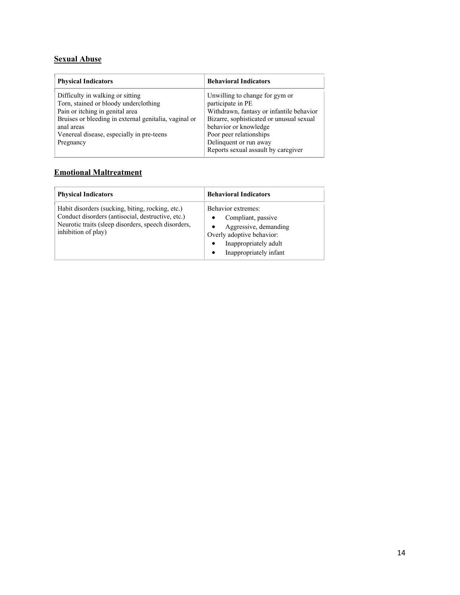## **Sexual Abuse**

| <b>Physical Indicators</b>                                                                                                                                                                                                                    | <b>Behavioral Indicators</b>                                                                                                                                                                                                                                     |
|-----------------------------------------------------------------------------------------------------------------------------------------------------------------------------------------------------------------------------------------------|------------------------------------------------------------------------------------------------------------------------------------------------------------------------------------------------------------------------------------------------------------------|
| Difficulty in walking or sitting<br>Torn, stained or bloody underclothing<br>Pain or itching in genital area<br>Bruises or bleeding in external genitalia, vaginal or<br>anal areas<br>Venereal disease, especially in pre-teens<br>Pregnancy | Unwilling to change for gym or<br>participate in PE<br>Withdrawn, fantasy or infantile behavior<br>Bizarre, sophisticated or unusual sexual<br>behavior or knowledge<br>Poor peer relationships<br>Delinquent or run away<br>Reports sexual assault by caregiver |

## **Emotional Maltreatment**

| <b>Physical Indicators</b>                                                                                                                                                          | <b>Behavioral Indicators</b>                                                                                                                      |
|-------------------------------------------------------------------------------------------------------------------------------------------------------------------------------------|---------------------------------------------------------------------------------------------------------------------------------------------------|
| Habit disorders (sucking, biting, rocking, etc.)<br>Conduct disorders (antisocial, destructive, etc.)<br>Neurotic traits (sleep disorders, speech disorders,<br>inhibition of play) | Behavior extremes:<br>Compliant, passive<br>Aggressive, demanding<br>Overly adoptive behavior:<br>Inappropriately adult<br>Inappropriately infant |